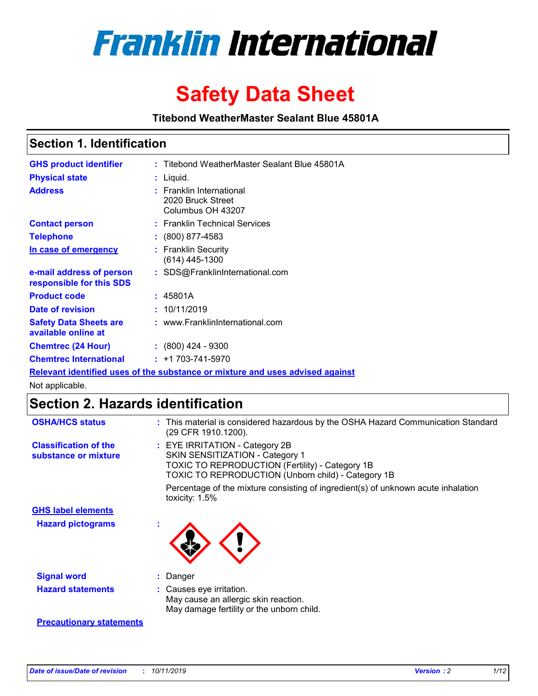

# **Safety Data Sheet**

**Titebond WeatherMaster Sealant Blue 45801A**

### **Section 1. Identification**

| <b>GHS product identifier</b>                                                 |  | : Titebond WeatherMaster Sealant Blue 45801A                       |  |  |  |
|-------------------------------------------------------------------------------|--|--------------------------------------------------------------------|--|--|--|
| <b>Physical state</b>                                                         |  | : Liquid.                                                          |  |  |  |
| <b>Address</b>                                                                |  | : Franklin International<br>2020 Bruck Street<br>Columbus OH 43207 |  |  |  |
| <b>Contact person</b>                                                         |  | : Franklin Technical Services                                      |  |  |  |
| <b>Telephone</b>                                                              |  | $\div$ (800) 877-4583                                              |  |  |  |
| In case of emergency                                                          |  | : Franklin Security<br>(614) 445-1300                              |  |  |  |
| e-mail address of person<br>responsible for this SDS                          |  | : SDS@FranklinInternational.com                                    |  |  |  |
| <b>Product code</b>                                                           |  | : 45801A                                                           |  |  |  |
| Date of revision                                                              |  | : 10/11/2019                                                       |  |  |  |
| <b>Safety Data Sheets are</b><br>available online at                          |  | : www.FranklinInternational.com                                    |  |  |  |
| <b>Chemtrec (24 Hour)</b>                                                     |  | $\div$ (800) 424 - 9300                                            |  |  |  |
| <b>Chemtrec International</b>                                                 |  | $: +1703 - 741 - 5970$                                             |  |  |  |
| Relevant identified uses of the substance or mixture and uses advised against |  |                                                                    |  |  |  |

Not applicable.

# **Section 2. Hazards identification**

| <b>OSHA/HCS status</b>                               | : This material is considered hazardous by the OSHA Hazard Communication Standard<br>(29 CFR 1910.1200).                                                                                 |
|------------------------------------------------------|------------------------------------------------------------------------------------------------------------------------------------------------------------------------------------------|
| <b>Classification of the</b><br>substance or mixture | : EYE IRRITATION - Category 2B<br>SKIN SENSITIZATION - Category 1<br><b>TOXIC TO REPRODUCTION (Fertility) - Category 1B</b><br><b>TOXIC TO REPRODUCTION (Unborn child) - Category 1B</b> |
|                                                      | Percentage of the mixture consisting of ingredient(s) of unknown acute inhalation<br>toxicity: $1.5\%$                                                                                   |
| <b>GHS label elements</b>                            |                                                                                                                                                                                          |
| <b>Hazard pictograms</b>                             |                                                                                                                                                                                          |
| <b>Signal word</b>                                   | : Danger                                                                                                                                                                                 |
| <b>Hazard statements</b>                             | : Causes eye irritation.<br>May cause an allergic skin reaction.<br>May damage fertility or the unborn child.                                                                            |
| <b>Precautionary statements</b>                      |                                                                                                                                                                                          |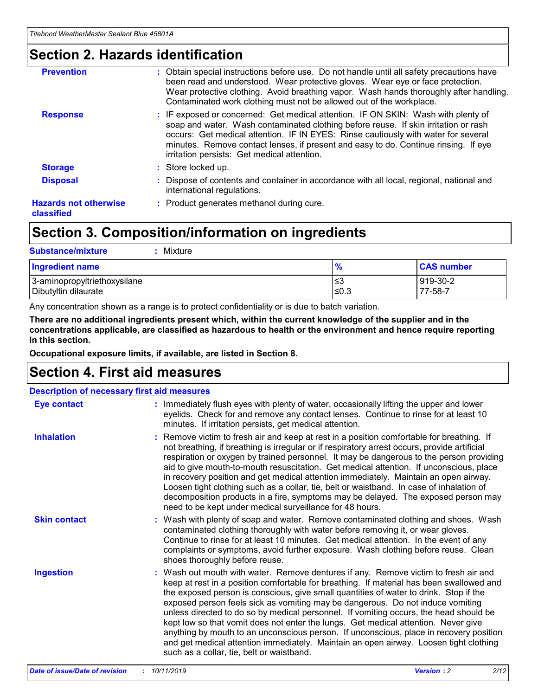### **Section 2. Hazards identification**

| <b>Prevention</b>                          | : Obtain special instructions before use. Do not handle until all safety precautions have<br>been read and understood. Wear protective gloves. Wear eye or face protection.<br>Wear protective clothing. Avoid breathing vapor. Wash hands thoroughly after handling.<br>Contaminated work clothing must not be allowed out of the workplace.                                                        |
|--------------------------------------------|------------------------------------------------------------------------------------------------------------------------------------------------------------------------------------------------------------------------------------------------------------------------------------------------------------------------------------------------------------------------------------------------------|
| <b>Response</b>                            | : IF exposed or concerned: Get medical attention. IF ON SKIN: Wash with plenty of<br>soap and water. Wash contaminated clothing before reuse. If skin irritation or rash<br>occurs: Get medical attention. IF IN EYES: Rinse cautiously with water for several<br>minutes. Remove contact lenses, if present and easy to do. Continue rinsing. If eye<br>irritation persists: Get medical attention. |
| <b>Storage</b>                             | : Store locked up.                                                                                                                                                                                                                                                                                                                                                                                   |
| <b>Disposal</b>                            | : Dispose of contents and container in accordance with all local, regional, national and<br>international regulations.                                                                                                                                                                                                                                                                               |
| <b>Hazards not otherwise</b><br>classified | : Product generates methanol during cure.                                                                                                                                                                                                                                                                                                                                                            |
|                                            |                                                                                                                                                                                                                                                                                                                                                                                                      |

### **Section 3. Composition/information on ingredients**

| <b>Substance/mixture</b><br>Mixture                  |               |                     |
|------------------------------------------------------|---------------|---------------------|
| <b>Ingredient name</b>                               | $\frac{9}{6}$ | <b>CAS number</b>   |
| 3-aminopropyltriethoxysilane<br>Dibutyltin dilaurate | ≤3<br>$≤0.3$  | 919-30-2<br>77-58-7 |

Any concentration shown as a range is to protect confidentiality or is due to batch variation.

**There are no additional ingredients present which, within the current knowledge of the supplier and in the concentrations applicable, are classified as hazardous to health or the environment and hence require reporting in this section.**

**Occupational exposure limits, if available, are listed in Section 8.**

### **Section 4. First aid measures**

| <b>Description of necessary first aid measures</b> |                                                                                                                                                                                                                                                                                                                                                                                                                                                                                                                                                                                                                                                                                                                                                                           |  |  |  |
|----------------------------------------------------|---------------------------------------------------------------------------------------------------------------------------------------------------------------------------------------------------------------------------------------------------------------------------------------------------------------------------------------------------------------------------------------------------------------------------------------------------------------------------------------------------------------------------------------------------------------------------------------------------------------------------------------------------------------------------------------------------------------------------------------------------------------------------|--|--|--|
| <b>Eye contact</b>                                 | : Immediately flush eyes with plenty of water, occasionally lifting the upper and lower<br>eyelids. Check for and remove any contact lenses. Continue to rinse for at least 10<br>minutes. If irritation persists, get medical attention.                                                                                                                                                                                                                                                                                                                                                                                                                                                                                                                                 |  |  |  |
| <b>Inhalation</b>                                  | : Remove victim to fresh air and keep at rest in a position comfortable for breathing. If<br>not breathing, if breathing is irregular or if respiratory arrest occurs, provide artificial<br>respiration or oxygen by trained personnel. It may be dangerous to the person providing<br>aid to give mouth-to-mouth resuscitation. Get medical attention. If unconscious, place<br>in recovery position and get medical attention immediately. Maintain an open airway.<br>Loosen tight clothing such as a collar, tie, belt or waistband. In case of inhalation of<br>decomposition products in a fire, symptoms may be delayed. The exposed person may<br>need to be kept under medical surveillance for 48 hours.                                                       |  |  |  |
| <b>Skin contact</b>                                | : Wash with plenty of soap and water. Remove contaminated clothing and shoes. Wash<br>contaminated clothing thoroughly with water before removing it, or wear gloves.<br>Continue to rinse for at least 10 minutes. Get medical attention. In the event of any<br>complaints or symptoms, avoid further exposure. Wash clothing before reuse. Clean<br>shoes thoroughly before reuse.                                                                                                                                                                                                                                                                                                                                                                                     |  |  |  |
| <b>Ingestion</b>                                   | : Wash out mouth with water. Remove dentures if any. Remove victim to fresh air and<br>keep at rest in a position comfortable for breathing. If material has been swallowed and<br>the exposed person is conscious, give small quantities of water to drink. Stop if the<br>exposed person feels sick as vomiting may be dangerous. Do not induce vomiting<br>unless directed to do so by medical personnel. If vomiting occurs, the head should be<br>kept low so that vomit does not enter the lungs. Get medical attention. Never give<br>anything by mouth to an unconscious person. If unconscious, place in recovery position<br>and get medical attention immediately. Maintain an open airway. Loosen tight clothing<br>such as a collar, tie, belt or waistband. |  |  |  |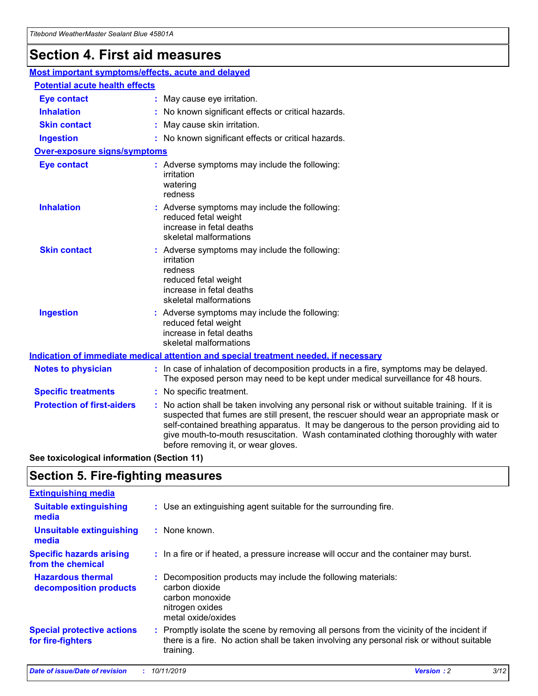# **Section 4. First aid measures**

| Most important symptoms/effects, acute and delayed |  |                                                                                                                                                                                                                                                                                                                                                                                                                 |  |
|----------------------------------------------------|--|-----------------------------------------------------------------------------------------------------------------------------------------------------------------------------------------------------------------------------------------------------------------------------------------------------------------------------------------------------------------------------------------------------------------|--|
| <b>Potential acute health effects</b>              |  |                                                                                                                                                                                                                                                                                                                                                                                                                 |  |
| <b>Eye contact</b>                                 |  | : May cause eye irritation.                                                                                                                                                                                                                                                                                                                                                                                     |  |
| <b>Inhalation</b>                                  |  | : No known significant effects or critical hazards.                                                                                                                                                                                                                                                                                                                                                             |  |
| <b>Skin contact</b>                                |  | : May cause skin irritation.                                                                                                                                                                                                                                                                                                                                                                                    |  |
| <b>Ingestion</b>                                   |  | : No known significant effects or critical hazards.                                                                                                                                                                                                                                                                                                                                                             |  |
| <b>Over-exposure signs/symptoms</b>                |  |                                                                                                                                                                                                                                                                                                                                                                                                                 |  |
| <b>Eye contact</b>                                 |  | : Adverse symptoms may include the following:<br>irritation<br>watering<br>redness                                                                                                                                                                                                                                                                                                                              |  |
| <b>Inhalation</b>                                  |  | : Adverse symptoms may include the following:<br>reduced fetal weight<br>increase in fetal deaths<br>skeletal malformations                                                                                                                                                                                                                                                                                     |  |
| <b>Skin contact</b>                                |  | : Adverse symptoms may include the following:<br>irritation<br>redness<br>reduced fetal weight<br>increase in fetal deaths<br>skeletal malformations                                                                                                                                                                                                                                                            |  |
| <b>Ingestion</b>                                   |  | : Adverse symptoms may include the following:<br>reduced fetal weight<br>increase in fetal deaths<br>skeletal malformations                                                                                                                                                                                                                                                                                     |  |
|                                                    |  | <b>Indication of immediate medical attention and special treatment needed, if necessary</b>                                                                                                                                                                                                                                                                                                                     |  |
| <b>Notes to physician</b>                          |  | : In case of inhalation of decomposition products in a fire, symptoms may be delayed.<br>The exposed person may need to be kept under medical surveillance for 48 hours.                                                                                                                                                                                                                                        |  |
| <b>Specific treatments</b>                         |  | : No specific treatment.                                                                                                                                                                                                                                                                                                                                                                                        |  |
| <b>Protection of first-aiders</b>                  |  | : No action shall be taken involving any personal risk or without suitable training. If it is<br>suspected that fumes are still present, the rescuer should wear an appropriate mask or<br>self-contained breathing apparatus. It may be dangerous to the person providing aid to<br>give mouth-to-mouth resuscitation. Wash contaminated clothing thoroughly with water<br>before removing it, or wear gloves. |  |

**See toxicological information (Section 11)**

### **Section 5. Fire-fighting measures**

| <b>Extinguishing media</b>                             |                                                                                                                                                                                                     |
|--------------------------------------------------------|-----------------------------------------------------------------------------------------------------------------------------------------------------------------------------------------------------|
| <b>Suitable extinguishing</b><br>media                 | : Use an extinguishing agent suitable for the surrounding fire.                                                                                                                                     |
| <b>Unsuitable extinguishing</b><br>media               | : None known.                                                                                                                                                                                       |
| <b>Specific hazards arising</b><br>from the chemical   | : In a fire or if heated, a pressure increase will occur and the container may burst.                                                                                                               |
| <b>Hazardous thermal</b><br>decomposition products     | : Decomposition products may include the following materials:<br>carbon dioxide<br>carbon monoxide<br>nitrogen oxides<br>metal oxide/oxides                                                         |
| <b>Special protective actions</b><br>for fire-fighters | : Promptly isolate the scene by removing all persons from the vicinity of the incident if<br>there is a fire. No action shall be taken involving any personal risk or without suitable<br>training. |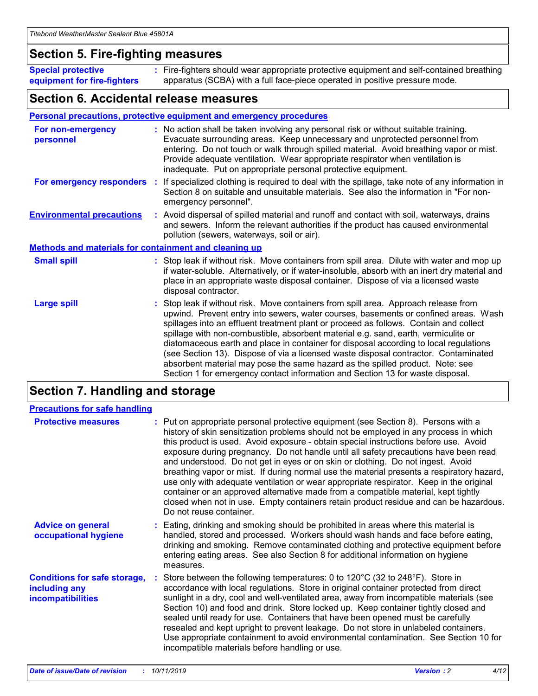### **Section 5. Fire-fighting measures**

**Special protective equipment for fire-fighters** Fire-fighters should wear appropriate protective equipment and self-contained breathing **:** apparatus (SCBA) with a full face-piece operated in positive pressure mode.

### **Section 6. Accidental release measures**

#### **Personal precautions, protective equipment and emergency procedures**

| For non-emergency<br>personnel                               | : No action shall be taken involving any personal risk or without suitable training.<br>Evacuate surrounding areas. Keep unnecessary and unprotected personnel from<br>entering. Do not touch or walk through spilled material. Avoid breathing vapor or mist.<br>Provide adequate ventilation. Wear appropriate respirator when ventilation is<br>inadequate. Put on appropriate personal protective equipment.                                                                                                                                                                                                                                                                                             |
|--------------------------------------------------------------|--------------------------------------------------------------------------------------------------------------------------------------------------------------------------------------------------------------------------------------------------------------------------------------------------------------------------------------------------------------------------------------------------------------------------------------------------------------------------------------------------------------------------------------------------------------------------------------------------------------------------------------------------------------------------------------------------------------|
|                                                              | For emergency responders : If specialized clothing is required to deal with the spillage, take note of any information in<br>Section 8 on suitable and unsuitable materials. See also the information in "For non-<br>emergency personnel".                                                                                                                                                                                                                                                                                                                                                                                                                                                                  |
| <b>Environmental precautions</b>                             | : Avoid dispersal of spilled material and runoff and contact with soil, waterways, drains<br>and sewers. Inform the relevant authorities if the product has caused environmental<br>pollution (sewers, waterways, soil or air).                                                                                                                                                                                                                                                                                                                                                                                                                                                                              |
| <b>Methods and materials for containment and cleaning up</b> |                                                                                                                                                                                                                                                                                                                                                                                                                                                                                                                                                                                                                                                                                                              |
| <b>Small spill</b>                                           | : Stop leak if without risk. Move containers from spill area. Dilute with water and mop up<br>if water-soluble. Alternatively, or if water-insoluble, absorb with an inert dry material and<br>place in an appropriate waste disposal container. Dispose of via a licensed waste<br>disposal contractor.                                                                                                                                                                                                                                                                                                                                                                                                     |
| <b>Large spill</b>                                           | : Stop leak if without risk. Move containers from spill area. Approach release from<br>upwind. Prevent entry into sewers, water courses, basements or confined areas. Wash<br>spillages into an effluent treatment plant or proceed as follows. Contain and collect<br>spillage with non-combustible, absorbent material e.g. sand, earth, vermiculite or<br>diatomaceous earth and place in container for disposal according to local regulations<br>(see Section 13). Dispose of via a licensed waste disposal contractor. Contaminated<br>absorbent material may pose the same hazard as the spilled product. Note: see<br>Section 1 for emergency contact information and Section 13 for waste disposal. |

### **Section 7. Handling and storage**

| <b>Precautions for safe handling</b>                                             |                                                                                                                                                                                                                                                                                                                                                                                                                                                                                                                                                                                                                                                                                                                                                                                                                                                  |
|----------------------------------------------------------------------------------|--------------------------------------------------------------------------------------------------------------------------------------------------------------------------------------------------------------------------------------------------------------------------------------------------------------------------------------------------------------------------------------------------------------------------------------------------------------------------------------------------------------------------------------------------------------------------------------------------------------------------------------------------------------------------------------------------------------------------------------------------------------------------------------------------------------------------------------------------|
| <b>Protective measures</b>                                                       | : Put on appropriate personal protective equipment (see Section 8). Persons with a<br>history of skin sensitization problems should not be employed in any process in which<br>this product is used. Avoid exposure - obtain special instructions before use. Avoid<br>exposure during pregnancy. Do not handle until all safety precautions have been read<br>and understood. Do not get in eyes or on skin or clothing. Do not ingest. Avoid<br>breathing vapor or mist. If during normal use the material presents a respiratory hazard,<br>use only with adequate ventilation or wear appropriate respirator. Keep in the original<br>container or an approved alternative made from a compatible material, kept tightly<br>closed when not in use. Empty containers retain product residue and can be hazardous.<br>Do not reuse container. |
| <b>Advice on general</b><br>occupational hygiene                                 | : Eating, drinking and smoking should be prohibited in areas where this material is<br>handled, stored and processed. Workers should wash hands and face before eating,<br>drinking and smoking. Remove contaminated clothing and protective equipment before<br>entering eating areas. See also Section 8 for additional information on hygiene<br>measures.                                                                                                                                                                                                                                                                                                                                                                                                                                                                                    |
| <b>Conditions for safe storage,</b><br>including any<br><b>incompatibilities</b> | : Store between the following temperatures: 0 to 120 $\degree$ C (32 to 248 $\degree$ F). Store in<br>accordance with local regulations. Store in original container protected from direct<br>sunlight in a dry, cool and well-ventilated area, away from incompatible materials (see<br>Section 10) and food and drink. Store locked up. Keep container tightly closed and<br>sealed until ready for use. Containers that have been opened must be carefully<br>resealed and kept upright to prevent leakage. Do not store in unlabeled containers.<br>Use appropriate containment to avoid environmental contamination. See Section 10 for<br>incompatible materials before handling or use.                                                                                                                                                   |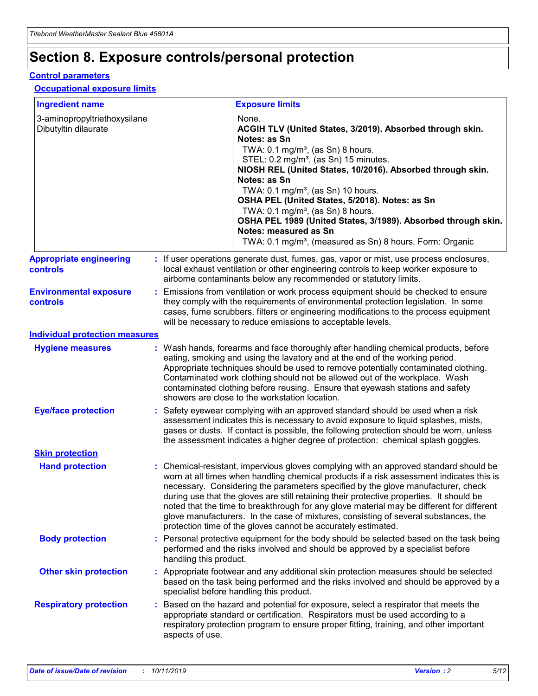# **Section 8. Exposure controls/personal protection**

#### **Control parameters**

#### **Occupational exposure limits**

| <b>Ingredient name</b>                               |    |                        | <b>Exposure limits</b>                                                                                                                                                                                                                                                                                                                                                                                                                                                                                                                                                                                                 |
|------------------------------------------------------|----|------------------------|------------------------------------------------------------------------------------------------------------------------------------------------------------------------------------------------------------------------------------------------------------------------------------------------------------------------------------------------------------------------------------------------------------------------------------------------------------------------------------------------------------------------------------------------------------------------------------------------------------------------|
| 3-aminopropyltriethoxysilane<br>Dibutyltin dilaurate |    |                        | None.<br>ACGIH TLV (United States, 3/2019). Absorbed through skin.<br>Notes: as Sn<br>TWA: 0.1 mg/m <sup>3</sup> , (as Sn) 8 hours.<br>STEL: 0.2 mg/m <sup>3</sup> , (as Sn) 15 minutes.<br>NIOSH REL (United States, 10/2016). Absorbed through skin.<br>Notes: as Sn<br>TWA: 0.1 mg/m <sup>3</sup> , (as Sn) 10 hours.<br>OSHA PEL (United States, 5/2018). Notes: as Sn<br>TWA: $0.1 \text{ mg/m}^3$ , (as Sn) 8 hours.<br>OSHA PEL 1989 (United States, 3/1989). Absorbed through skin.<br>Notes: measured as Sn<br>TWA: 0.1 mg/m <sup>3</sup> , (measured as Sn) 8 hours. Form: Organic                           |
| <b>Appropriate engineering</b><br>controls           |    |                        | : If user operations generate dust, fumes, gas, vapor or mist, use process enclosures,<br>local exhaust ventilation or other engineering controls to keep worker exposure to<br>airborne contaminants below any recommended or statutory limits.                                                                                                                                                                                                                                                                                                                                                                       |
| <b>Environmental exposure</b><br><b>controls</b>     |    |                        | Emissions from ventilation or work process equipment should be checked to ensure<br>they comply with the requirements of environmental protection legislation. In some<br>cases, fume scrubbers, filters or engineering modifications to the process equipment<br>will be necessary to reduce emissions to acceptable levels.                                                                                                                                                                                                                                                                                          |
| <b>Individual protection measures</b>                |    |                        |                                                                                                                                                                                                                                                                                                                                                                                                                                                                                                                                                                                                                        |
| <b>Hygiene measures</b>                              |    |                        | : Wash hands, forearms and face thoroughly after handling chemical products, before<br>eating, smoking and using the lavatory and at the end of the working period.<br>Appropriate techniques should be used to remove potentially contaminated clothing.<br>Contaminated work clothing should not be allowed out of the workplace. Wash<br>contaminated clothing before reusing. Ensure that eyewash stations and safety<br>showers are close to the workstation location.                                                                                                                                            |
| <b>Eye/face protection</b>                           |    |                        | : Safety eyewear complying with an approved standard should be used when a risk<br>assessment indicates this is necessary to avoid exposure to liquid splashes, mists,<br>gases or dusts. If contact is possible, the following protection should be worn, unless<br>the assessment indicates a higher degree of protection: chemical splash goggles.                                                                                                                                                                                                                                                                  |
| <b>Skin protection</b>                               |    |                        |                                                                                                                                                                                                                                                                                                                                                                                                                                                                                                                                                                                                                        |
| <b>Hand protection</b>                               |    |                        | : Chemical-resistant, impervious gloves complying with an approved standard should be<br>worn at all times when handling chemical products if a risk assessment indicates this is<br>necessary. Considering the parameters specified by the glove manufacturer, check<br>during use that the gloves are still retaining their protective properties. It should be<br>noted that the time to breakthrough for any glove material may be different for different<br>glove manufacturers. In the case of mixtures, consisting of several substances, the<br>protection time of the gloves cannot be accurately estimated. |
| <b>Body protection</b>                               |    | handling this product. | Personal protective equipment for the body should be selected based on the task being<br>performed and the risks involved and should be approved by a specialist before                                                                                                                                                                                                                                                                                                                                                                                                                                                |
| <b>Other skin protection</b>                         |    |                        | : Appropriate footwear and any additional skin protection measures should be selected<br>based on the task being performed and the risks involved and should be approved by a<br>specialist before handling this product.                                                                                                                                                                                                                                                                                                                                                                                              |
| <b>Respiratory protection</b>                        | ÷. | aspects of use.        | Based on the hazard and potential for exposure, select a respirator that meets the<br>appropriate standard or certification. Respirators must be used according to a<br>respiratory protection program to ensure proper fitting, training, and other important                                                                                                                                                                                                                                                                                                                                                         |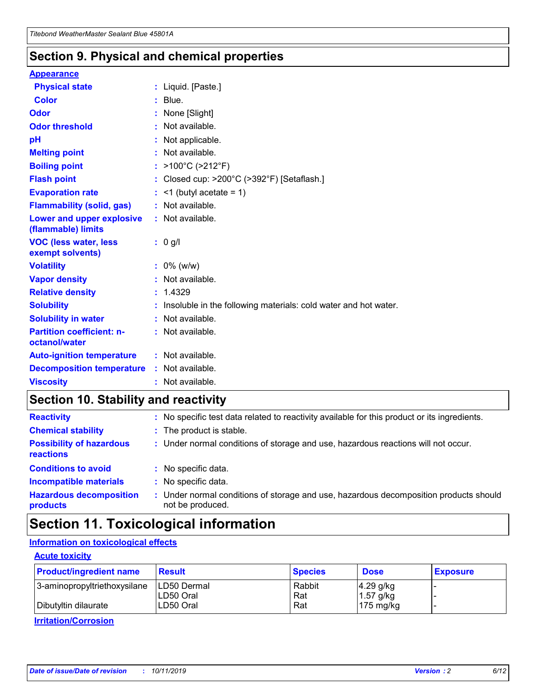### **Section 9. Physical and chemical properties**

#### **Appearance**

| <b>Physical state</b>                             | : Liquid. [Paste.]                                              |
|---------------------------------------------------|-----------------------------------------------------------------|
| Color                                             | $:$ Blue.                                                       |
| Odor                                              | : None [Slight]                                                 |
| <b>Odor threshold</b>                             | : Not available.                                                |
| рH                                                | : Not applicable.                                               |
| <b>Melting point</b>                              | : Not available.                                                |
| <b>Boiling point</b>                              | : >100°C (>212°F)                                               |
| <b>Flash point</b>                                | : Closed cup: $>200^{\circ}$ C ( $>392^{\circ}$ F) [Setaflash.] |
| <b>Evaporation rate</b>                           | $:$ <1 (butyl acetate = 1)                                      |
| <b>Flammability (solid, gas)</b>                  | : Not available.                                                |
| Lower and upper explosive<br>(flammable) limits   | : Not available.                                                |
| <b>VOC (less water, less</b><br>exempt solvents)  | $: 0$ g/l                                                       |
| <b>Volatility</b>                                 | $: 0\%$ (w/w)                                                   |
| <b>Vapor density</b>                              |                                                                 |
|                                                   | : Not available.                                                |
| <b>Relative density</b>                           | : 1.4329                                                        |
| <b>Solubility</b>                                 | Insoluble in the following materials: cold water and hot water. |
| <b>Solubility in water</b>                        | : Not available.                                                |
| <b>Partition coefficient: n-</b><br>octanol/water | $:$ Not available.                                              |
| <b>Auto-ignition temperature</b>                  | : Not available.                                                |
| <b>Decomposition temperature</b>                  | : Not available.                                                |

### **Section 10. Stability and reactivity**

| <b>Reactivity</b>                            | : No specific test data related to reactivity available for this product or its ingredients.            |
|----------------------------------------------|---------------------------------------------------------------------------------------------------------|
| <b>Chemical stability</b>                    | : The product is stable.                                                                                |
| <b>Possibility of hazardous</b><br>reactions | : Under normal conditions of storage and use, hazardous reactions will not occur.                       |
| <b>Conditions to avoid</b>                   | : No specific data.                                                                                     |
| <b>Incompatible materials</b>                | : No specific data.                                                                                     |
| <b>Hazardous decomposition</b><br>products   | Under normal conditions of storage and use, hazardous decomposition products should<br>not be produced. |

### **Section 11. Toxicological information**

#### **Information on toxicological effects**

#### **Acute toxicity**

| <b>Product/ingredient name</b> | <b>Result</b>           | <b>Species</b> | <b>Dose</b>                | <b>Exposure</b> |
|--------------------------------|-------------------------|----------------|----------------------------|-----------------|
| 3-aminopropyltriethoxysilane   | <b>ILD50 Dermal</b>     | Rabbit         | 4.29 g/kg                  |                 |
| Dibutyltin dilaurate           | ILD50 Oral<br>LD50 Oral | Rat<br>Rat     | $1.57$ g/kg<br>175 $mg/kg$ |                 |
|                                |                         |                |                            |                 |

**Irritation/Corrosion**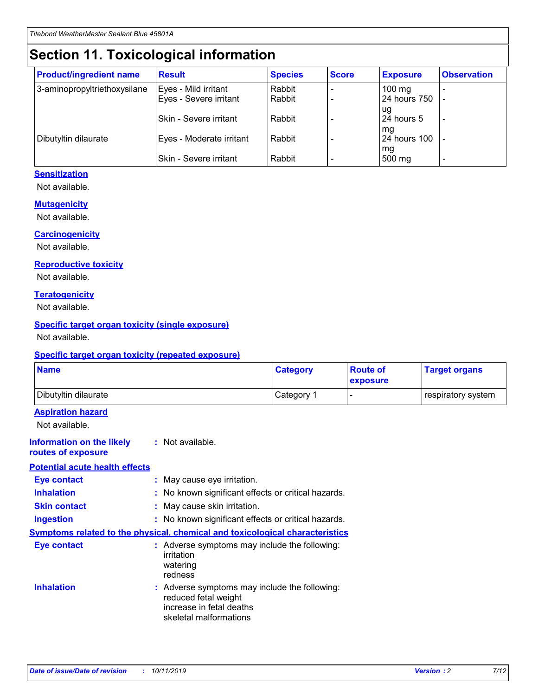# **Section 11. Toxicological information**

| <b>Product/ingredient name</b> | <b>Result</b>                 | <b>Species</b> | <b>Score</b> | <b>Exposure</b>    | <b>Observation</b> |
|--------------------------------|-------------------------------|----------------|--------------|--------------------|--------------------|
| 3-aminopropyltriethoxysilane   | Eyes - Mild irritant          | Rabbit         |              | $100$ mg           |                    |
|                                | Eyes - Severe irritant        | Rabbit         |              | 24 hours 750       |                    |
|                                |                               |                |              | ug                 |                    |
|                                | <b>Skin - Severe irritant</b> | Rabbit         |              | 24 hours 5         | ٠                  |
| Dibutyltin dilaurate           | Eyes - Moderate irritant      | Rabbit         |              | mq<br>24 hours 100 |                    |
|                                |                               |                |              | mg                 |                    |
|                                | Skin - Severe irritant        | Rabbit         |              | 500 mg             |                    |

#### **Sensitization**

Not available.

#### **Mutagenicity**

Not available.

#### **Carcinogenicity**

Not available.

#### **Reproductive toxicity**

Not available.

#### **Teratogenicity**

Not available.

#### **Specific target organ toxicity (single exposure)**

Not available.

#### **Specific target organ toxicity (repeated exposure)**

| <b>Name</b>                                                                  |                                                                                                                             | <b>Category</b> | <b>Route of</b><br>exposure  | <b>Target organs</b> |
|------------------------------------------------------------------------------|-----------------------------------------------------------------------------------------------------------------------------|-----------------|------------------------------|----------------------|
| Dibutyltin dilaurate                                                         |                                                                                                                             | Category 1      | $\qquad \qquad \blacksquare$ | respiratory system   |
| <b>Aspiration hazard</b><br>Not available.                                   |                                                                                                                             |                 |                              |                      |
| <b>Information on the likely</b><br>routes of exposure                       | : Not available.                                                                                                            |                 |                              |                      |
| <b>Potential acute health effects</b>                                        |                                                                                                                             |                 |                              |                      |
| <b>Eye contact</b>                                                           | : May cause eye irritation.                                                                                                 |                 |                              |                      |
| <b>Inhalation</b>                                                            | : No known significant effects or critical hazards.                                                                         |                 |                              |                      |
| <b>Skin contact</b>                                                          | : May cause skin irritation.                                                                                                |                 |                              |                      |
| <b>Ingestion</b>                                                             | : No known significant effects or critical hazards.                                                                         |                 |                              |                      |
| Symptoms related to the physical, chemical and toxicological characteristics |                                                                                                                             |                 |                              |                      |
| <b>Eye contact</b>                                                           | : Adverse symptoms may include the following:<br>irritation<br>watering<br>redness                                          |                 |                              |                      |
| <b>Inhalation</b>                                                            | : Adverse symptoms may include the following:<br>reduced fetal weight<br>increase in fetal deaths<br>skeletal malformations |                 |                              |                      |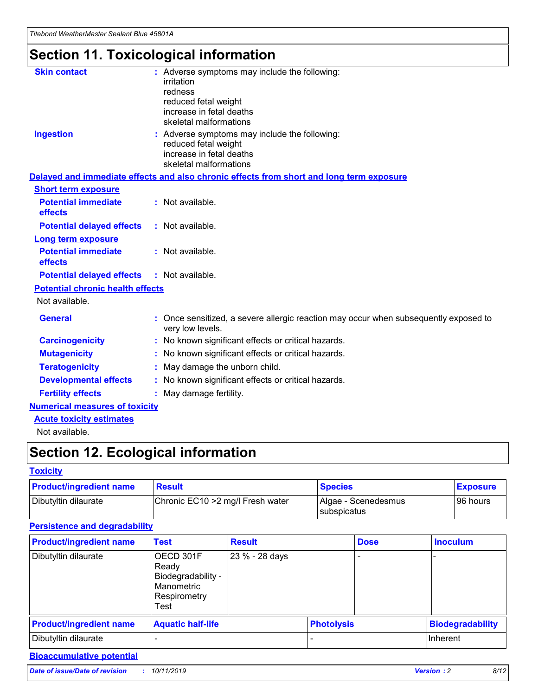# **Section 11. Toxicological information**

| <b>Skin contact</b>                     | : Adverse symptoms may include the following:<br>irritation<br>redness<br>reduced fetal weight<br>increase in fetal deaths<br>skeletal malformations |
|-----------------------------------------|------------------------------------------------------------------------------------------------------------------------------------------------------|
| <b>Ingestion</b>                        | : Adverse symptoms may include the following:<br>reduced fetal weight<br>increase in fetal deaths<br>skeletal malformations                          |
|                                         | Delayed and immediate effects and also chronic effects from short and long term exposure                                                             |
| <b>Short term exposure</b>              |                                                                                                                                                      |
| <b>Potential immediate</b><br>effects   | : Not available.                                                                                                                                     |
| <b>Potential delayed effects</b>        | : Not available.                                                                                                                                     |
| <b>Long term exposure</b>               |                                                                                                                                                      |
| <b>Potential immediate</b><br>effects   | : Not available.                                                                                                                                     |
| <b>Potential delayed effects</b>        | : Not available.                                                                                                                                     |
| <b>Potential chronic health effects</b> |                                                                                                                                                      |
| Not available.                          |                                                                                                                                                      |
| <b>General</b>                          | : Once sensitized, a severe allergic reaction may occur when subsequently exposed to<br>very low levels.                                             |
| <b>Carcinogenicity</b>                  | : No known significant effects or critical hazards.                                                                                                  |
| <b>Mutagenicity</b>                     | No known significant effects or critical hazards.                                                                                                    |
| <b>Teratogenicity</b>                   | May damage the unborn child.                                                                                                                         |
| <b>Developmental effects</b>            | No known significant effects or critical hazards.                                                                                                    |
| <b>Fertility effects</b>                | : May damage fertility.                                                                                                                              |
| <b>Numerical measures of toxicity</b>   |                                                                                                                                                      |
| <b>Acute toxicity estimates</b>         |                                                                                                                                                      |
|                                         |                                                                                                                                                      |

Not available.

# **Section 12. Ecological information**

#### **Toxicity**

| <b>Product/ingredient name</b> | <b>Result</b>                     | <b>Species</b>                       | <b>Exposure</b> |
|--------------------------------|-----------------------------------|--------------------------------------|-----------------|
| Dibutyltin dilaurate           | Chronic EC10 > 2 mg/l Fresh water | Algae - Scenedesmus<br>I subspicatus | l 96 hours      |

#### **Persistence and degradability**

| <b>Product/ingredient name</b> | Test                                                                           | <b>Result</b>  |                   | <b>Dose</b> | <b>Inoculum</b>         |
|--------------------------------|--------------------------------------------------------------------------------|----------------|-------------------|-------------|-------------------------|
| Dibutyltin dilaurate           | OECD 301F<br>Ready<br>Biodegradability -<br>Manometric<br>Respirometry<br>Test | 23 % - 28 days |                   |             |                         |
| <b>Product/ingredient name</b> | <b>Aquatic half-life</b>                                                       |                | <b>Photolysis</b> |             | <b>Biodegradability</b> |
| Dibutyltin dilaurate           |                                                                                |                |                   |             | Inherent                |

#### **Bioaccumulative potential**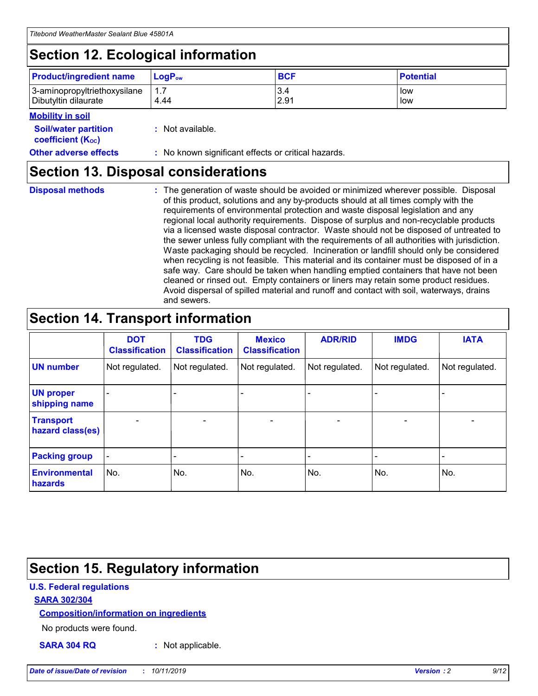# **Section 12. Ecological information**

| <b>Product/ingredient name</b> | $LoaPow$ | <b>BCF</b> | <b>Potential</b> |
|--------------------------------|----------|------------|------------------|
| 3-aminopropyltriethoxysilane   | 1.7      | 3.4        | low              |
| Dibutyltin dilaurate           | 4.44     | 2.91       | low              |

#### **Mobility in soil**

| <i></i>                                                       |                                                     |
|---------------------------------------------------------------|-----------------------------------------------------|
| <b>Soil/water partition</b><br>coefficient (K <sub>oc</sub> ) | : Not available.                                    |
| <b>Other adverse effects</b>                                  | : No known significant effects or critical hazards. |

### **Section 13. Disposal considerations**

**Disposal methods :**

The generation of waste should be avoided or minimized wherever possible. Disposal of this product, solutions and any by-products should at all times comply with the requirements of environmental protection and waste disposal legislation and any regional local authority requirements. Dispose of surplus and non-recyclable products via a licensed waste disposal contractor. Waste should not be disposed of untreated to the sewer unless fully compliant with the requirements of all authorities with jurisdiction. Waste packaging should be recycled. Incineration or landfill should only be considered when recycling is not feasible. This material and its container must be disposed of in a safe way. Care should be taken when handling emptied containers that have not been cleaned or rinsed out. Empty containers or liners may retain some product residues. Avoid dispersal of spilled material and runoff and contact with soil, waterways, drains and sewers.

# **Section 14. Transport information**

|                                      | <b>DOT</b><br><b>Classification</b> | <b>TDG</b><br><b>Classification</b> | <b>Mexico</b><br><b>Classification</b> | <b>ADR/RID</b>           | <b>IMDG</b>              | <b>IATA</b>              |
|--------------------------------------|-------------------------------------|-------------------------------------|----------------------------------------|--------------------------|--------------------------|--------------------------|
| <b>UN number</b>                     | Not regulated.                      | Not regulated.                      | Not regulated.                         | Not regulated.           | Not regulated.           | Not regulated.           |
| <b>UN proper</b><br>shipping name    | $\qquad \qquad \blacksquare$        |                                     |                                        |                          |                          |                          |
| <b>Transport</b><br>hazard class(es) | $\blacksquare$                      | $\blacksquare$                      | $\blacksquare$                         | $\overline{\phantom{a}}$ | $\blacksquare$           | $\blacksquare$           |
| <b>Packing group</b>                 | $\overline{\phantom{a}}$            | $\overline{\phantom{0}}$            | $\overline{\phantom{0}}$               | -                        | $\overline{\phantom{0}}$ | $\overline{\phantom{a}}$ |
| <b>Environmental</b><br>hazards      | No.                                 | No.                                 | No.                                    | No.                      | No.                      | No.                      |

# **Section 15. Regulatory information**

#### **U.S. Federal regulations**

#### **SARA 302/304**

#### **Composition/information on ingredients**

No products were found.

**SARA 304 RQ :** Not applicable.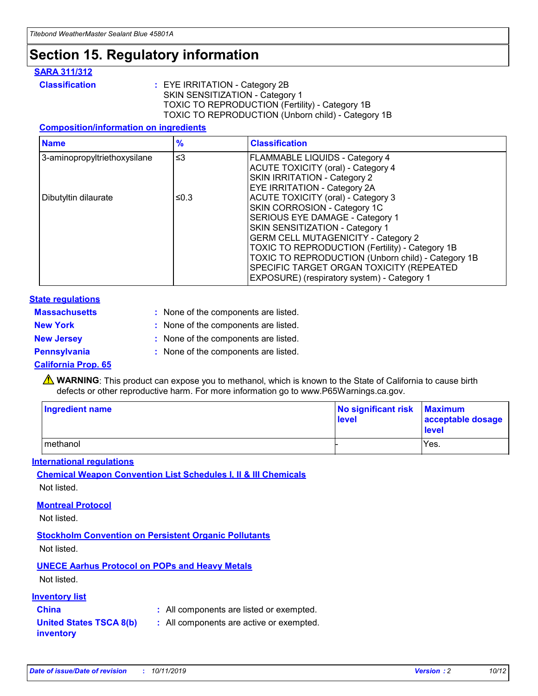## **Section 15. Regulatory information**

#### **SARA 311/312**

**Classification :** EYE IRRITATION - Category 2B SKIN SENSITIZATION - Category 1 TOXIC TO REPRODUCTION (Fertility) - Category 1B TOXIC TO REPRODUCTION (Unborn child) - Category 1B

#### **Composition/information on ingredients**

| <b>Name</b>                  | $\frac{9}{6}$ | <b>Classification</b>                                                                                            |
|------------------------------|---------------|------------------------------------------------------------------------------------------------------------------|
| 3-aminopropyltriethoxysilane | $\leq$ 3      | <b>FLAMMABLE LIQUIDS - Category 4</b><br><b>ACUTE TOXICITY (oral) - Category 4</b>                               |
|                              |               | SKIN IRRITATION - Category 2<br>EYE IRRITATION - Category 2A                                                     |
| Dibutyltin dilaurate         | ≤0.3          | ACUTE TOXICITY (oral) - Category 3<br>SKIN CORROSION - Category 1C                                               |
|                              |               | SERIOUS EYE DAMAGE - Category 1<br>SKIN SENSITIZATION - Category 1<br><b>GERM CELL MUTAGENICITY - Category 2</b> |
|                              |               | TOXIC TO REPRODUCTION (Fertility) - Category 1B<br>TOXIC TO REPRODUCTION (Unborn child) - Category 1B            |
|                              |               | SPECIFIC TARGET ORGAN TOXICITY (REPEATED<br>EXPOSURE) (respiratory system) - Category 1                          |

#### **State regulations**

| <b>Massachusetts</b> | : None of the components are listed. |
|----------------------|--------------------------------------|
| <b>New York</b>      | : None of the components are listed. |
| <b>New Jersey</b>    | : None of the components are listed. |
| Pennsylvania         | : None of the components are listed. |

#### **California Prop. 65**

**A** WARNING: This product can expose you to methanol, which is known to the State of California to cause birth defects or other reproductive harm. For more information go to www.P65Warnings.ca.gov.

| <b>Ingredient name</b> | No significant risk Maximum<br>level | acceptable dosage<br>level |
|------------------------|--------------------------------------|----------------------------|
| methanol               |                                      | Yes.                       |

#### **International regulations**

**Chemical Weapon Convention List Schedules I, II & III Chemicals** Not listed.

#### **Montreal Protocol**

Not listed.

**Stockholm Convention on Persistent Organic Pollutants**

Not listed.

#### **UNECE Aarhus Protocol on POPs and Heavy Metals**

Not listed.

#### **Inventory list**

### **China :** All components are listed or exempted.

**United States TSCA 8(b) inventory :** All components are active or exempted.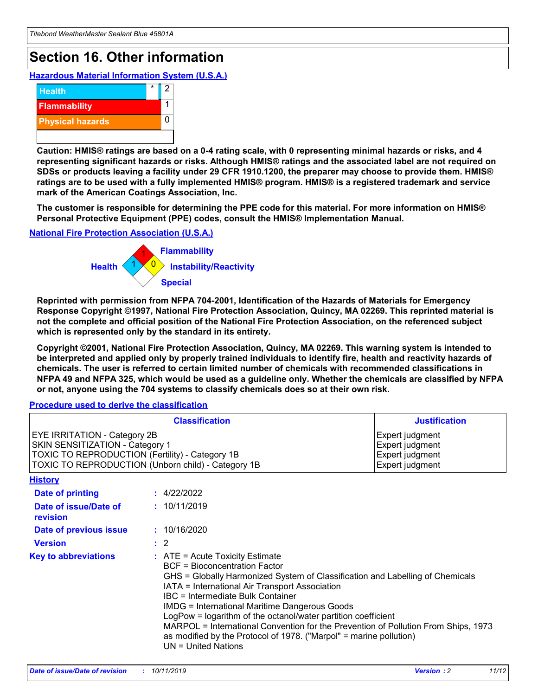# **Section 16. Other information**

**Hazardous Material Information System (U.S.A.)**



**Caution: HMIS® ratings are based on a 0-4 rating scale, with 0 representing minimal hazards or risks, and 4 representing significant hazards or risks. Although HMIS® ratings and the associated label are not required on SDSs or products leaving a facility under 29 CFR 1910.1200, the preparer may choose to provide them. HMIS® ratings are to be used with a fully implemented HMIS® program. HMIS® is a registered trademark and service mark of the American Coatings Association, Inc.**

**The customer is responsible for determining the PPE code for this material. For more information on HMIS® Personal Protective Equipment (PPE) codes, consult the HMIS® Implementation Manual.**

#### **National Fire Protection Association (U.S.A.)**



**Reprinted with permission from NFPA 704-2001, Identification of the Hazards of Materials for Emergency Response Copyright ©1997, National Fire Protection Association, Quincy, MA 02269. This reprinted material is not the complete and official position of the National Fire Protection Association, on the referenced subject which is represented only by the standard in its entirety.**

**Copyright ©2001, National Fire Protection Association, Quincy, MA 02269. This warning system is intended to be interpreted and applied only by properly trained individuals to identify fire, health and reactivity hazards of chemicals. The user is referred to certain limited number of chemicals with recommended classifications in NFPA 49 and NFPA 325, which would be used as a guideline only. Whether the chemicals are classified by NFPA or not, anyone using the 704 systems to classify chemicals does so at their own risk.**

#### **Procedure used to derive the classification**

| <b>Classification</b>                                                                                                                                                                  |                                                                                                                                                                                                                                                                   | <b>Justification</b>                                                                                                                                                                                                                                                                                       |  |
|----------------------------------------------------------------------------------------------------------------------------------------------------------------------------------------|-------------------------------------------------------------------------------------------------------------------------------------------------------------------------------------------------------------------------------------------------------------------|------------------------------------------------------------------------------------------------------------------------------------------------------------------------------------------------------------------------------------------------------------------------------------------------------------|--|
| <b>EYE IRRITATION - Category 2B</b><br>SKIN SENSITIZATION - Category 1<br><b>TOXIC TO REPRODUCTION (Fertility) - Category 1B</b><br>TOXIC TO REPRODUCTION (Unborn child) - Category 1B |                                                                                                                                                                                                                                                                   | Expert judgment<br>Expert judgment<br>Expert judgment<br>Expert judgment                                                                                                                                                                                                                                   |  |
| <b>History</b>                                                                                                                                                                         |                                                                                                                                                                                                                                                                   |                                                                                                                                                                                                                                                                                                            |  |
| <b>Date of printing</b>                                                                                                                                                                | : 4/22/2022                                                                                                                                                                                                                                                       |                                                                                                                                                                                                                                                                                                            |  |
| Date of issue/Date of<br>revision                                                                                                                                                      | : 10/11/2019                                                                                                                                                                                                                                                      |                                                                                                                                                                                                                                                                                                            |  |
| Date of previous issue                                                                                                                                                                 | : 10/16/2020                                                                                                                                                                                                                                                      |                                                                                                                                                                                                                                                                                                            |  |
| <b>Version</b>                                                                                                                                                                         | $\therefore$ 2                                                                                                                                                                                                                                                    |                                                                                                                                                                                                                                                                                                            |  |
| <b>Key to abbreviations</b>                                                                                                                                                            | $\therefore$ ATE = Acute Toxicity Estimate<br><b>BCF</b> = Bioconcentration Factor<br>IATA = International Air Transport Association<br><b>IBC</b> = Intermediate Bulk Container<br><b>IMDG = International Maritime Dangerous Goods</b><br>$UN = United Nations$ | GHS = Globally Harmonized System of Classification and Labelling of Chemicals<br>LogPow = logarithm of the octanol/water partition coefficient<br>MARPOL = International Convention for the Prevention of Pollution From Ships, 1973<br>as modified by the Protocol of 1978. ("Marpol" = marine pollution) |  |